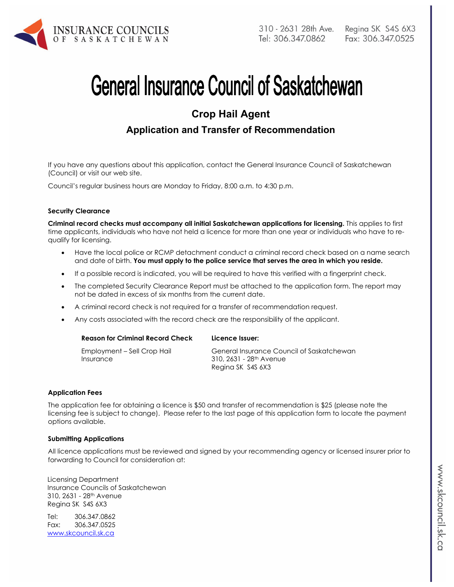

# **General Insurance Council of Saskatchewan**

# **Crop Hail Agent**

## **Application and Transfer of Recommendation**

If you have any questions about this application, contact the General Insurance Council of Saskatchewan (Council) or visit our web site.

Council's regular business hours are Monday to Friday, 8:00 a.m. to 4:30 p.m.

#### **Security Clearance**

**Criminal record checks must accompany all initial Saskatchewan applications for licensing.** This applies to first time applicants, individuals who have not held a licence for more than one year or individuals who have to requalify for licensing.

- Have the local police or RCMP detachment conduct a criminal record check based on a name search and date of birth. **You must apply to the police service that serves the area in which you reside.**
- If a possible record is indicated, you will be required to have this verified with a fingerprint check.
- The completed Security Clearance Report must be attached to the application form. The report may not be dated in excess of six months from the current date.
- A criminal record check is not required for a transfer of recommendation request.
- Any costs associated with the record check are the responsibility of the applicant.

| <b>Reason for Criminal Record Check</b>  | Licence Issuer:                                                                                       |
|------------------------------------------|-------------------------------------------------------------------------------------------------------|
| Employment – Sell Crop Hail<br>Insurance | General Insurance Council of Saskatchewan<br>310, 2631 - 28 <sup>th</sup> Avenue<br>Regina SK S4S 6X3 |

#### **Application Fees**

The application fee for obtaining a licence is \$50 and transfer of recommendation is \$25 (please note the licensing fee is subject to change). Please refer to the last page of this application form to locate the payment options available.

#### **Submitting Applications**

All licence applications must be reviewed and signed by your recommending agency or licensed insurer prior to forwarding to Council for consideration at:

Licensing Department Insurance Councils of Saskatchewan 310, 2631 - 28th Avenue Regina SK S4S 6X3

Tel: 306.347.0862 Fax: 306.347.0525 www.skcouncil.sk.ca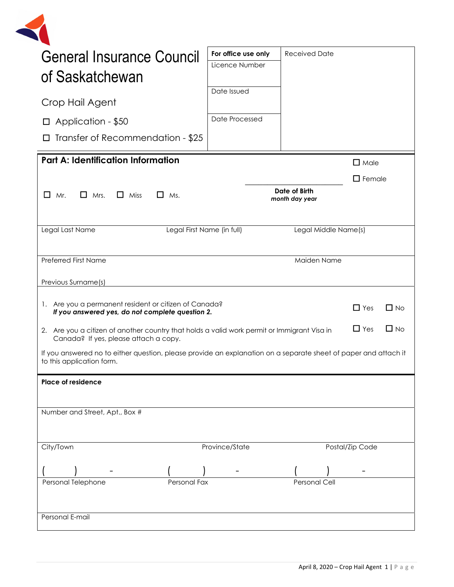| <b>General Insurance Council</b>                                                                                                                                | For office use only | <b>Received Date</b>            |                 |           |
|-----------------------------------------------------------------------------------------------------------------------------------------------------------------|---------------------|---------------------------------|-----------------|-----------|
|                                                                                                                                                                 | Licence Number      |                                 |                 |           |
| of Saskatchewan                                                                                                                                                 |                     |                                 |                 |           |
| Crop Hail Agent                                                                                                                                                 | Date Issued         |                                 |                 |           |
| $\Box$ Application - \$50                                                                                                                                       | Date Processed      |                                 |                 |           |
| Transfer of Recommendation - \$25<br>$\Box$                                                                                                                     |                     |                                 |                 |           |
| <b>Part A: Identification Information</b>                                                                                                                       |                     |                                 | $\Box$ Male     |           |
|                                                                                                                                                                 |                     |                                 | $\Box$ Female   |           |
| П<br>$\Box$ Mrs.<br>Mr.<br>$\Box$ Miss<br>$\Box$ Ms.                                                                                                            |                     | Date of Birth<br>month day year |                 |           |
| Legal Last Name<br>Legal First Name (in full)                                                                                                                   |                     | Legal Middle Name(s)            |                 |           |
| Preferred First Name                                                                                                                                            |                     | Maiden Name                     |                 |           |
| Previous Surname(s)                                                                                                                                             |                     |                                 |                 |           |
| 1. Are you a permanent resident or citizen of Canada?<br>If you answered yes, do not complete question 2.                                                       |                     |                                 | $\Box$ Yes      | $\Box$ No |
| $\Box$ Yes<br>$\Box$ No<br>2. Are you a citizen of another country that holds a valid work permit or Immigrant Visa in<br>Canada? If yes, please attach a copy. |                     |                                 |                 |           |
| If you answered no to either question, please provide an explanation on a separate sheet of paper and attach it<br>to this application form.                    |                     |                                 |                 |           |
| <b>Place of residence</b>                                                                                                                                       |                     |                                 |                 |           |
| Number and Street, Apt., Box #                                                                                                                                  |                     |                                 |                 |           |
| City/Town                                                                                                                                                       | Province/State      |                                 | Postal/Zip Code |           |
|                                                                                                                                                                 |                     |                                 |                 |           |
|                                                                                                                                                                 |                     |                                 |                 |           |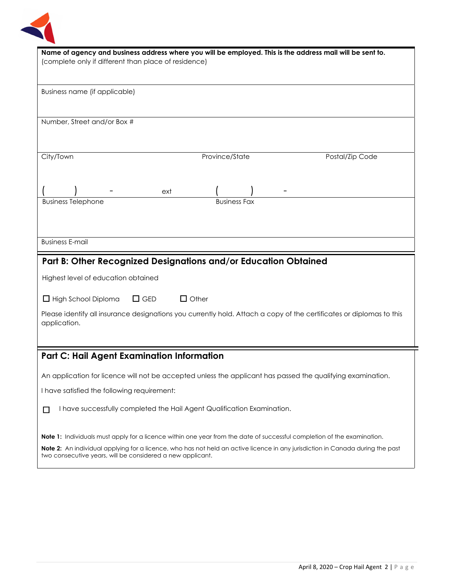

| Name of agency and business address where you will be employed. This is the address mail will be sent to.                                                                                    |  |  |
|----------------------------------------------------------------------------------------------------------------------------------------------------------------------------------------------|--|--|
| (complete only if different than place of residence)                                                                                                                                         |  |  |
|                                                                                                                                                                                              |  |  |
|                                                                                                                                                                                              |  |  |
| Business name (if applicable)                                                                                                                                                                |  |  |
|                                                                                                                                                                                              |  |  |
| Number, Street and/or Box #                                                                                                                                                                  |  |  |
|                                                                                                                                                                                              |  |  |
|                                                                                                                                                                                              |  |  |
| Province/State<br>City/Town<br>Postal/Zip Code                                                                                                                                               |  |  |
|                                                                                                                                                                                              |  |  |
|                                                                                                                                                                                              |  |  |
| ext                                                                                                                                                                                          |  |  |
| <b>Business Fax</b><br><b>Business Telephone</b>                                                                                                                                             |  |  |
|                                                                                                                                                                                              |  |  |
|                                                                                                                                                                                              |  |  |
|                                                                                                                                                                                              |  |  |
| <b>Business E-mail</b>                                                                                                                                                                       |  |  |
|                                                                                                                                                                                              |  |  |
| Part B: Other Recognized Designations and/or Education Obtained                                                                                                                              |  |  |
| Highest level of education obtained                                                                                                                                                          |  |  |
|                                                                                                                                                                                              |  |  |
| $\Box$ GED<br>$\Box$ Other<br>$\Box$ High School Diploma                                                                                                                                     |  |  |
|                                                                                                                                                                                              |  |  |
| Please identify all insurance designations you currently hold. Attach a copy of the certificates or diplomas to this<br>application.                                                         |  |  |
|                                                                                                                                                                                              |  |  |
|                                                                                                                                                                                              |  |  |
| <b>Part C: Hail Agent Examination Information</b>                                                                                                                                            |  |  |
|                                                                                                                                                                                              |  |  |
| An application for licence will not be accepted unless the applicant has passed the qualifying examination.                                                                                  |  |  |
| I have satisfied the following requirement:                                                                                                                                                  |  |  |
| I have successfully completed the Hail Agent Qualification Examination.<br>$\Box$                                                                                                            |  |  |
|                                                                                                                                                                                              |  |  |
|                                                                                                                                                                                              |  |  |
| <b>Note 1:</b> Individuals must apply for a licence within one year from the date of successful completion of the examination.                                                               |  |  |
| Note 2: An individual applying for a licence, who has not held an active licence in any jurisdiction in Canada during the past<br>two consecutive years, will be considered a new applicant. |  |  |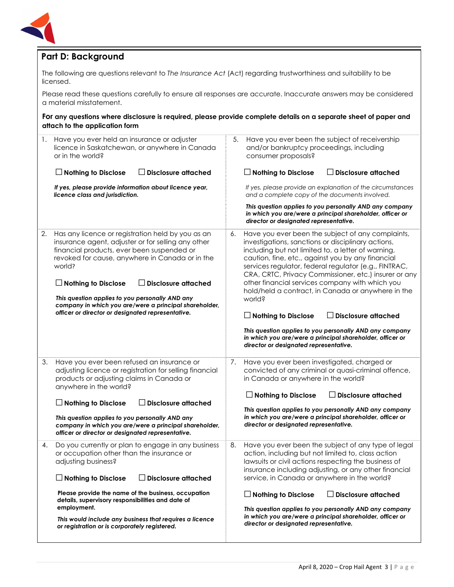

## **Part D: Background**

The following are questions relevant to *The Insurance Act* (Act) regarding trustworthiness and suitability to be licensed.

Please read these questions carefully to ensure all responses are accurate. Inaccurate answers may be considered a material misstatement.

#### **For any questions where disclosure is required, please provide complete details on a separate sheet of paper and attach to the application form**

| 1. | Have you ever held an insurance or adjuster<br>licence in Saskatchewan, or anywhere in Canada<br>or in the world?<br>$\Box$ Disclosure attached<br>$\Box$ Nothing to Disclose                                                                                                                                                                                                               | 5. | Have you ever been the subject of receivership<br>and/or bankruptcy proceedings, including<br>consumer proposals?<br>$\Box$ Nothing to Disclose<br>$\Box$ Disclosure attached                                                                                                                                                                                                                                                                           |
|----|---------------------------------------------------------------------------------------------------------------------------------------------------------------------------------------------------------------------------------------------------------------------------------------------------------------------------------------------------------------------------------------------|----|---------------------------------------------------------------------------------------------------------------------------------------------------------------------------------------------------------------------------------------------------------------------------------------------------------------------------------------------------------------------------------------------------------------------------------------------------------|
|    | If yes, please provide information about licence year,<br>licence class and jurisdiction.                                                                                                                                                                                                                                                                                                   |    | If yes, please provide an explanation of the circumstances<br>and a complete copy of the documents involved.                                                                                                                                                                                                                                                                                                                                            |
|    |                                                                                                                                                                                                                                                                                                                                                                                             |    | This question applies to you personally AND any company<br>in which you are/were a principal shareholder, officer or<br>director or designated representative.                                                                                                                                                                                                                                                                                          |
| 2. | Has any licence or registration held by you as an<br>insurance agent, adjuster or for selling any other<br>financial products, ever been suspended or<br>revoked for cause, anywhere in Canada or in the<br>world?<br>$\Box$ Disclosure attached<br>$\Box$ Nothing to Disclose<br>This question applies to you personally AND any<br>company in which you are/were a principal shareholder, | 6. | Have you ever been the subject of any complaints,<br>investigations, sanctions or disciplinary actions,<br>including but not limited to, a letter of warning,<br>caution, fine, etc., against you by any financial<br>services regulator, federal regulator (e.g., FINTRAC,<br>CRA, CRTC, Privacy Commissioner, etc.) insurer or any<br>other financial services company with which you<br>hold/held a contract, in Canada or anywhere in the<br>world? |
|    | officer or director or designated representative.                                                                                                                                                                                                                                                                                                                                           |    | $\Box$ Disclosure attached<br>$\Box$ Nothing to Disclose<br>This question applies to you personally AND any company<br>in which you are/were a principal shareholder, officer or<br>director or designated representative.                                                                                                                                                                                                                              |
| 3. | Have you ever been refused an insurance or<br>adjusting licence or registration for selling financial<br>products or adjusting claims in Canada or<br>anywhere in the world?                                                                                                                                                                                                                | 7. | Have you ever been investigated, charged or<br>convicted of any criminal or quasi-criminal offence,<br>in Canada or anywhere in the world?<br>$\Box$ Disclosure attached<br>$\Box$ Nothing to Disclose                                                                                                                                                                                                                                                  |
|    | $\Box$ Nothing to Disclose<br><b>Disclosure attached</b>                                                                                                                                                                                                                                                                                                                                    |    |                                                                                                                                                                                                                                                                                                                                                                                                                                                         |
|    | This question applies to you personally AND any<br>company in which you are/were a principal shareholder,<br>officer or director or designated representative.                                                                                                                                                                                                                              |    | This question applies to you personally AND any company<br>in which you are/were a principal shareholder, officer or<br>director or designated representative.                                                                                                                                                                                                                                                                                          |
| 4. | Do you currently or plan to engage in any business<br>or occupation other than the insurance or<br>adjusting business?                                                                                                                                                                                                                                                                      | 8. | Have you ever been the subject of any type of legal<br>action, including but not limited to, class action<br>lawsuits or civil actions respecting the business of<br>insurance including adjusting, or any other financial                                                                                                                                                                                                                              |
|    | <b>Disclosure attached</b><br>$\Box$ Nothing to Disclose                                                                                                                                                                                                                                                                                                                                    |    | service, in Canada or anywhere in the world?                                                                                                                                                                                                                                                                                                                                                                                                            |
|    | Please provide the name of the business, occupation<br>details, supervisory responsibilities and date of<br>employment.                                                                                                                                                                                                                                                                     |    | $\Box$ Nothing to Disclose<br>$\Box$ Disclosure attached<br>This question applies to you personally AND any company                                                                                                                                                                                                                                                                                                                                     |
|    | This would include any business that requires a licence<br>or registration or is corporately registered.                                                                                                                                                                                                                                                                                    |    | in which you are/were a principal shareholder, officer or<br>director or designated representative.                                                                                                                                                                                                                                                                                                                                                     |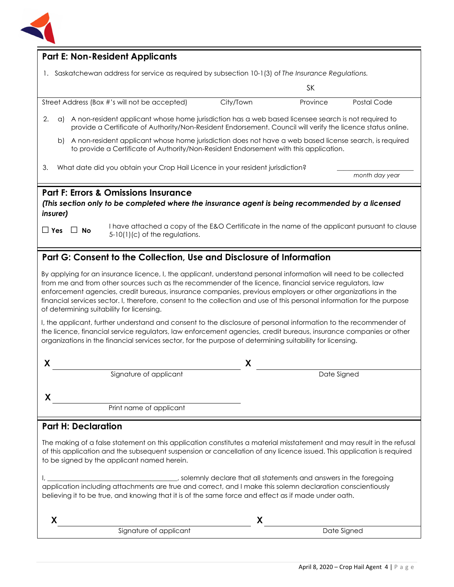

| <b>Part E: Non-Resident Applicants</b>                                                                                                                                                                                                                                                                                                                                                                                                                                                                                                                                                                                                                                                                                                                        |           |                                 |                |
|---------------------------------------------------------------------------------------------------------------------------------------------------------------------------------------------------------------------------------------------------------------------------------------------------------------------------------------------------------------------------------------------------------------------------------------------------------------------------------------------------------------------------------------------------------------------------------------------------------------------------------------------------------------------------------------------------------------------------------------------------------------|-----------|---------------------------------|----------------|
| 1. Saskatchewan address for service as required by subsection 10-1(3) of The Insurance Regulations.                                                                                                                                                                                                                                                                                                                                                                                                                                                                                                                                                                                                                                                           |           |                                 |                |
|                                                                                                                                                                                                                                                                                                                                                                                                                                                                                                                                                                                                                                                                                                                                                               |           | <b>SK</b>                       |                |
| Street Address (Box #'s will not be accepted)                                                                                                                                                                                                                                                                                                                                                                                                                                                                                                                                                                                                                                                                                                                 | City/Town | Province                        | Postal Code    |
| 2.<br>A non-resident applicant whose home jurisdiction has a web based licensee search is not required to<br>a)<br>provide a Certificate of Authority/Non-Resident Endorsement. Council will verify the licence status online.                                                                                                                                                                                                                                                                                                                                                                                                                                                                                                                                |           |                                 |                |
| A non-resident applicant whose home jurisdiction does not have a web based license search, is required<br>b)<br>to provide a Certificate of Authority/Non-Resident Endorsement with this application.                                                                                                                                                                                                                                                                                                                                                                                                                                                                                                                                                         |           |                                 |                |
| What date did you obtain your Crop Hail Licence in your resident jurisdiction?<br>З.                                                                                                                                                                                                                                                                                                                                                                                                                                                                                                                                                                                                                                                                          |           |                                 | month day year |
| <b>Part F: Errors &amp; Omissions Insurance</b><br>(This section only to be completed where the insurance agent is being recommended by a licensed<br>insurer)                                                                                                                                                                                                                                                                                                                                                                                                                                                                                                                                                                                                |           |                                 |                |
| I have attached a copy of the E&O Certificate in the name of the applicant pursuant to clause<br>$\Box$ Yes $\Box$ No<br>$5-10(1)(c)$ of the regulations.                                                                                                                                                                                                                                                                                                                                                                                                                                                                                                                                                                                                     |           |                                 |                |
| Part G: Consent to the Collection, Use and Disclosure of Information                                                                                                                                                                                                                                                                                                                                                                                                                                                                                                                                                                                                                                                                                          |           |                                 |                |
| By applying for an insurance licence, I, the applicant, understand personal information will need to be collected<br>from me and from other sources such as the recommender of the licence, financial service regulators, law<br>enforcement agencies, credit bureaus, insurance companies, previous employers or other organizations in the<br>financial services sector. I, therefore, consent to the collection and use of this personal information for the purpose<br>of determining suitability for licensing.<br>I, the applicant, further understand and consent to the disclosure of personal information to the recommender of<br>the licence, financial service regulators, law enforcement agencies, credit bureaus, insurance companies or other |           |                                 |                |
| organizations in the financial services sector, for the purpose of determining suitability for licensing.                                                                                                                                                                                                                                                                                                                                                                                                                                                                                                                                                                                                                                                     |           |                                 |                |
| X                                                                                                                                                                                                                                                                                                                                                                                                                                                                                                                                                                                                                                                                                                                                                             | X         |                                 |                |
| Signature of applicant                                                                                                                                                                                                                                                                                                                                                                                                                                                                                                                                                                                                                                                                                                                                        |           | Date Signed                     |                |
| X.                                                                                                                                                                                                                                                                                                                                                                                                                                                                                                                                                                                                                                                                                                                                                            |           |                                 |                |
| Print name of applicant                                                                                                                                                                                                                                                                                                                                                                                                                                                                                                                                                                                                                                                                                                                                       |           |                                 |                |
| <b>Part H: Declaration</b>                                                                                                                                                                                                                                                                                                                                                                                                                                                                                                                                                                                                                                                                                                                                    |           |                                 |                |
| The making of a false statement on this application constitutes a material misstatement and may result in the refusal<br>of this application and the subsequent suspension or cancellation of any licence issued. This application is required<br>to be signed by the applicant named herein.<br>solemnly declare that all statements and answers in the foregoing (3) statements and answers in the foregoing<br>application including attachments are true and correct, and I make this solemn declaration conscientiously<br>believing it to be true, and knowing that it is of the same force and effect as if made under oath.                                                                                                                           |           |                                 |                |
|                                                                                                                                                                                                                                                                                                                                                                                                                                                                                                                                                                                                                                                                                                                                                               |           |                                 |                |
| X<br>Signature of applicant                                                                                                                                                                                                                                                                                                                                                                                                                                                                                                                                                                                                                                                                                                                                   | X.        | <b>Example 2</b><br>Date Signed |                |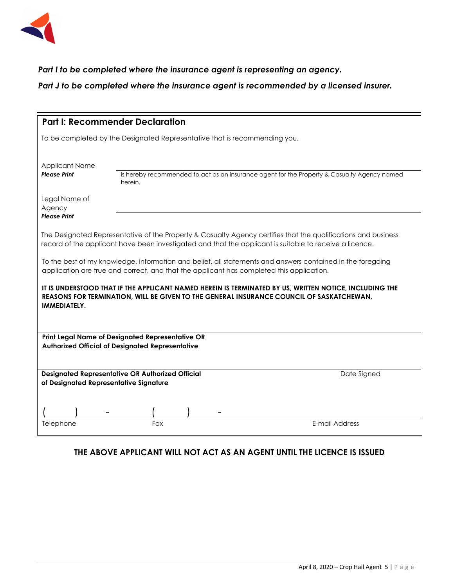

## *Part I to be completed where the insurance agent is representing an agency.*

*Part J to be completed where the insurance agent is recommended by a licensed insurer.* 

| <b>Part I: Recommender Declaration</b>                                                                                                                                                                                    |                                                         |                                                                                             |  |
|---------------------------------------------------------------------------------------------------------------------------------------------------------------------------------------------------------------------------|---------------------------------------------------------|---------------------------------------------------------------------------------------------|--|
| To be completed by the Designated Representative that is recommending you.                                                                                                                                                |                                                         |                                                                                             |  |
| <b>Applicant Name</b><br><b>Please Print</b>                                                                                                                                                                              | herein.                                                 | is hereby recommended to act as an insurance agent for the Property & Casualty Agency named |  |
| Legal Name of<br>Agency<br><b>Please Print</b>                                                                                                                                                                            |                                                         |                                                                                             |  |
| The Designated Representative of the Property & Casualty Agency certifies that the qualifications and business<br>record of the applicant have been investigated and that the applicant is suitable to receive a licence. |                                                         |                                                                                             |  |
| To the best of my knowledge, information and belief, all statements and answers contained in the foregoing<br>application are true and correct, and that the applicant has completed this application.                    |                                                         |                                                                                             |  |
| IT IS UNDERSTOOD THAT IF THE APPLICANT NAMED HEREIN IS TERMINATED BY US, WRITTEN NOTICE, INCLUDING THE<br>REASONS FOR TERMINATION, WILL BE GIVEN TO THE GENERAL INSURANCE COUNCIL OF SASKATCHEWAN,<br>IMMEDIATELY.        |                                                         |                                                                                             |  |
| Print Legal Name of Designated Representative OR<br><b>Authorized Official of Designated Representative</b>                                                                                                               |                                                         |                                                                                             |  |
| of Designated Representative Signature                                                                                                                                                                                    | <b>Designated Representative OR Authorized Official</b> | Date Signed                                                                                 |  |
| Telephone                                                                                                                                                                                                                 | Fax                                                     | E-mail Address                                                                              |  |
|                                                                                                                                                                                                                           |                                                         |                                                                                             |  |

### **THE ABOVE APPLICANT WILL NOT ACT AS AN AGENT UNTIL THE LICENCE IS ISSUED**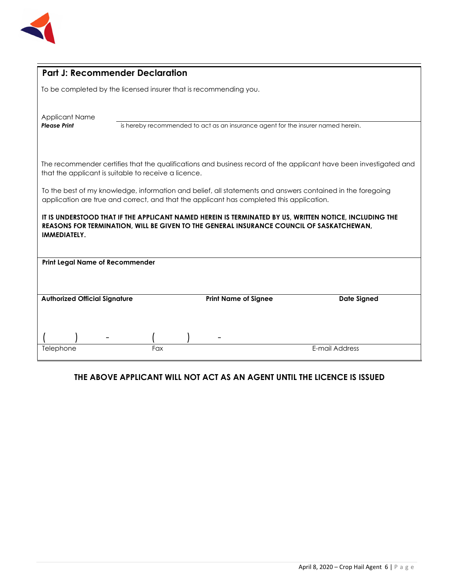

| <b>Part J: Recommender Declaration</b>                                                                                                                                                                                    |     |  |                                                                                  |                    |
|---------------------------------------------------------------------------------------------------------------------------------------------------------------------------------------------------------------------------|-----|--|----------------------------------------------------------------------------------|--------------------|
| To be completed by the licensed insurer that is recommending you.                                                                                                                                                         |     |  |                                                                                  |                    |
|                                                                                                                                                                                                                           |     |  |                                                                                  |                    |
| <b>Applicant Name</b>                                                                                                                                                                                                     |     |  |                                                                                  |                    |
| <b>Please Print</b>                                                                                                                                                                                                       |     |  | is hereby recommended to act as an insurance agent for the insurer named herein. |                    |
|                                                                                                                                                                                                                           |     |  |                                                                                  |                    |
| The recommender certifies that the qualifications and business record of the applicant have been investigated and<br>that the applicant is suitable to receive a licence.                                                 |     |  |                                                                                  |                    |
| To the best of my knowledge, information and belief, all statements and answers contained in the foregoing<br>application are true and correct, and that the applicant has completed this application.                    |     |  |                                                                                  |                    |
| IT IS UNDERSTOOD THAT IF THE APPLICANT NAMED HEREIN IS TERMINATED BY US, WRITTEN NOTICE, INCLUDING THE<br>REASONS FOR TERMINATION, WILL BE GIVEN TO THE GENERAL INSURANCE COUNCIL OF SASKATCHEWAN,<br><b>IMMEDIATELY.</b> |     |  |                                                                                  |                    |
| <b>Print Legal Name of Recommender</b>                                                                                                                                                                                    |     |  |                                                                                  |                    |
|                                                                                                                                                                                                                           |     |  |                                                                                  |                    |
| <b>Authorized Official Signature</b>                                                                                                                                                                                      |     |  | <b>Print Name of Signee</b>                                                      | <b>Date Signed</b> |
|                                                                                                                                                                                                                           |     |  |                                                                                  |                    |
|                                                                                                                                                                                                                           |     |  |                                                                                  |                    |
| Telephone                                                                                                                                                                                                                 | Fax |  |                                                                                  | E-mail Address     |

## **THE ABOVE APPLICANT WILL NOT ACT AS AN AGENT UNTIL THE LICENCE IS ISSUED**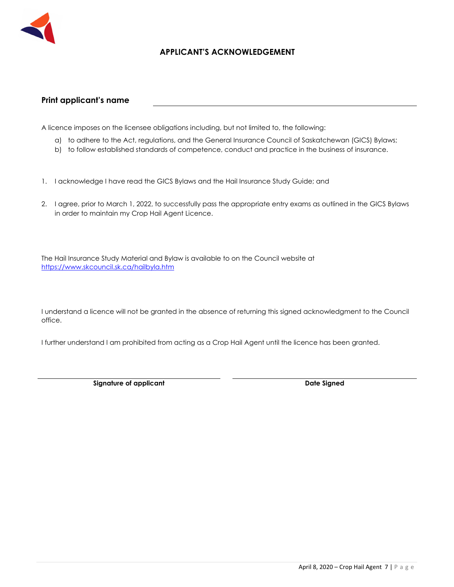

## **APPLICANT'S ACKNOWLEDGEMENT**

#### **Print applicant's name**

A licence imposes on the licensee obligations including, but not limited to, the following:

- a) to adhere to the Act, regulations, and the General Insurance Council of Saskatchewan (GICS) Bylaws;
- b) to follow established standards of competence, conduct and practice in the business of insurance.
- 1. I acknowledge I have read the GICS Bylaws and the Hail Insurance Study Guide; and
- 2. I agree, prior to March 1, 2022, to successfully pass the appropriate entry exams as outlined in the GICS Bylaws in order to maintain my Crop Hail Agent Licence.

The Hail Insurance Study Material and Bylaw is available to on the Council website at https://www.skcouncil.sk.ca/hailbyla.htm

I understand a licence will not be granted in the absence of returning this signed acknowledgment to the Council office.

I further understand I am prohibited from acting as a Crop Hail Agent until the licence has been granted.

**Signature of applicant Case Controllering Case Controllering Case Controllering Date Signed Date Signed**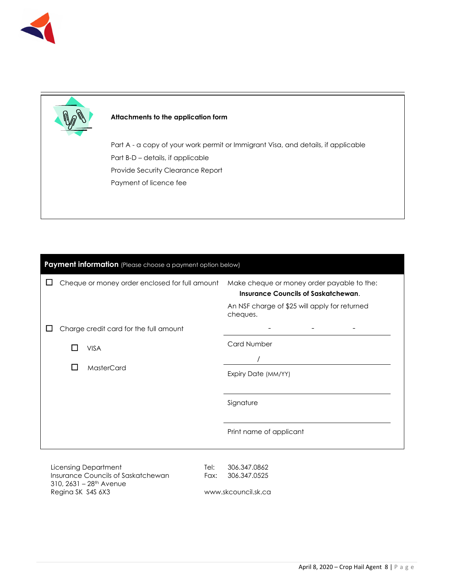

#### **Attachments to the application form**

Part A - a copy of your work permit or Immigrant Visa, and details, if applicable Part B-D – details, if applicable Provide Security Clearance Report Payment of licence fee

| Payment information (Please choose a payment option below) |                                                                                          |  |  |
|------------------------------------------------------------|------------------------------------------------------------------------------------------|--|--|
| Cheque or money order enclosed for full amount             | Make cheque or money order payable to the:<br><b>Insurance Councils of Saskatchewan.</b> |  |  |
|                                                            | An NSF charge of \$25 will apply for returned<br>cheques.                                |  |  |
| Charge credit card for the full amount                     |                                                                                          |  |  |
| <b>VISA</b>                                                | <b>Card Number</b>                                                                       |  |  |
| <b>MasterCard</b>                                          |                                                                                          |  |  |
|                                                            | Expiry Date (MM/YY)                                                                      |  |  |
|                                                            | Signature                                                                                |  |  |
|                                                            | Print name of applicant                                                                  |  |  |
|                                                            |                                                                                          |  |  |

Licensing Department Insurance Councils of Saskatchewan  $310, 2631 - 28$ <sup>th</sup> Avenue Regina SK S4S 6X3

Tel: 306.347.0862 Fax: 306.347.0525

www.skcouncil.sk.ca